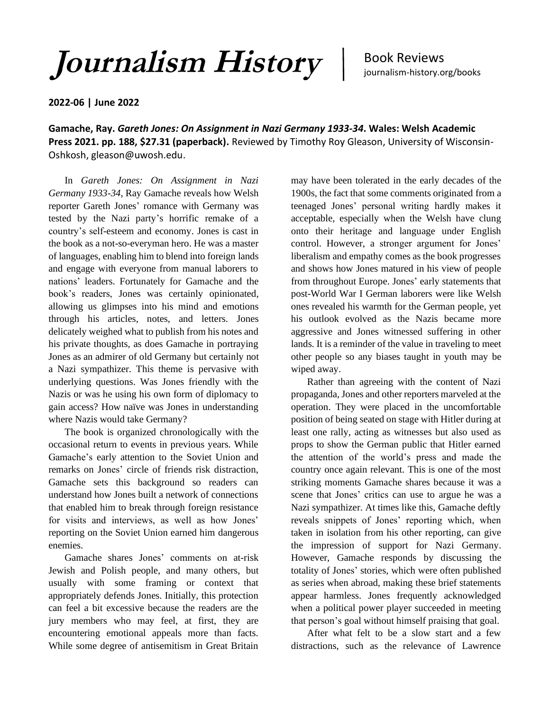*Journalism History* |

Book Reviews journalism-history.org/books

**2022-06 | June 2022**

**Gamache, Ray.** *Gareth Jones: On Assignment in Nazi Germany 1933-34***. Wales: Welsh Academic Press 2021. pp. 188, \$27.31 (paperback).** Reviewed by Timothy Roy Gleason, University of Wisconsin-Oshkosh, gleason@uwosh.edu.

In *Gareth Jones: On Assignment in Nazi Germany 1933-34*, Ray Gamache reveals how Welsh reporter Gareth Jones' romance with Germany was tested by the Nazi party's horrific remake of a country's self-esteem and economy. Jones is cast in the book as a not-so-everyman hero. He was a master of languages, enabling him to blend into foreign lands and engage with everyone from manual laborers to nations' leaders. Fortunately for Gamache and the book's readers, Jones was certainly opinionated, allowing us glimpses into his mind and emotions through his articles, notes, and letters. Jones delicately weighed what to publish from his notes and his private thoughts, as does Gamache in portraying Jones as an admirer of old Germany but certainly not a Nazi sympathizer. This theme is pervasive with underlying questions. Was Jones friendly with the Nazis or was he using his own form of diplomacy to gain access? How naïve was Jones in understanding where Nazis would take Germany?

The book is organized chronologically with the occasional return to events in previous years. While Gamache's early attention to the Soviet Union and remarks on Jones' circle of friends risk distraction, Gamache sets this background so readers can understand how Jones built a network of connections that enabled him to break through foreign resistance for visits and interviews, as well as how Jones' reporting on the Soviet Union earned him dangerous enemies.

Gamache shares Jones' comments on at-risk Jewish and Polish people, and many others, but usually with some framing or context that appropriately defends Jones. Initially, this protection can feel a bit excessive because the readers are the jury members who may feel, at first, they are encountering emotional appeals more than facts. While some degree of antisemitism in Great Britain

may have been tolerated in the early decades of the 1900s, the fact that some comments originated from a teenaged Jones' personal writing hardly makes it acceptable, especially when the Welsh have clung onto their heritage and language under English control. However, a stronger argument for Jones' liberalism and empathy comes as the book progresses and shows how Jones matured in his view of people from throughout Europe. Jones' early statements that post-World War I German laborers were like Welsh ones revealed his warmth for the German people, yet his outlook evolved as the Nazis became more aggressive and Jones witnessed suffering in other lands. It is a reminder of the value in traveling to meet other people so any biases taught in youth may be wiped away.

Rather than agreeing with the content of Nazi propaganda, Jones and other reporters marveled at the operation. They were placed in the uncomfortable position of being seated on stage with Hitler during at least one rally, acting as witnesses but also used as props to show the German public that Hitler earned the attention of the world's press and made the country once again relevant. This is one of the most striking moments Gamache shares because it was a scene that Jones' critics can use to argue he was a Nazi sympathizer. At times like this, Gamache deftly reveals snippets of Jones' reporting which, when taken in isolation from his other reporting, can give the impression of support for Nazi Germany. However, Gamache responds by discussing the totality of Jones' stories, which were often published as series when abroad, making these brief statements appear harmless. Jones frequently acknowledged when a political power player succeeded in meeting that person's goal without himself praising that goal.

After what felt to be a slow start and a few distractions, such as the relevance of Lawrence